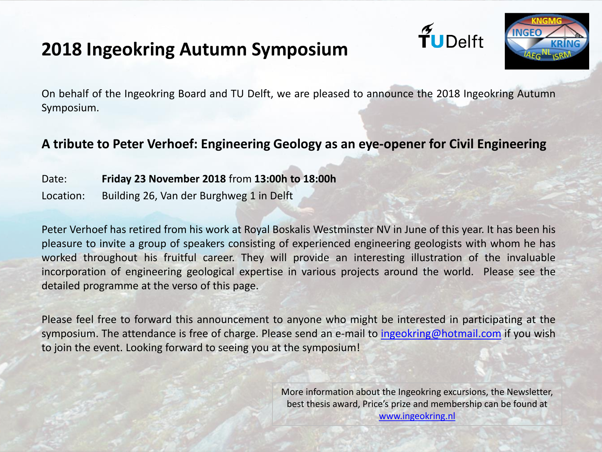## **2018 Ingeokring Autumn Symposium**





On behalf of the Ingeokring Board and TU Delft, we are pleased to announce the 2018 Ingeokring Autumn Symposium.

## **A tribute to Peter Verhoef: Engineering Geology as an eye-opener for Civil Engineering**

- Date: **Friday 23 November 2018** from **13:00h to 18:00h**
- Location: Building 26, Van der Burghweg 1 in Delft

Peter Verhoef has retired from his work at Royal Boskalis Westminster NV in June of this year. It has been his pleasure to invite a group of speakers consisting of experienced engineering geologists with whom he has worked throughout his fruitful career. They will provide an interesting illustration of the invaluable incorporation of engineering geological expertise in various projects around the world. Please see the detailed programme at the verso of this page.

Please feel free to forward this announcement to anyone who might be interested in participating at the symposium. The attendance is free of charge. Please send an e-mail to [ingeokring@hotmail.com](mailto:ingeokring@hotmail.com) if you wish to join the event. Looking forward to seeing you at the symposium!

> More information about the Ingeokring excursions, the Newsletter, best thesis award, Price's prize and membership can be found at [www.ingeokring.nl](http://www.ingeokring.nl/pages/home.php?lang=NL)